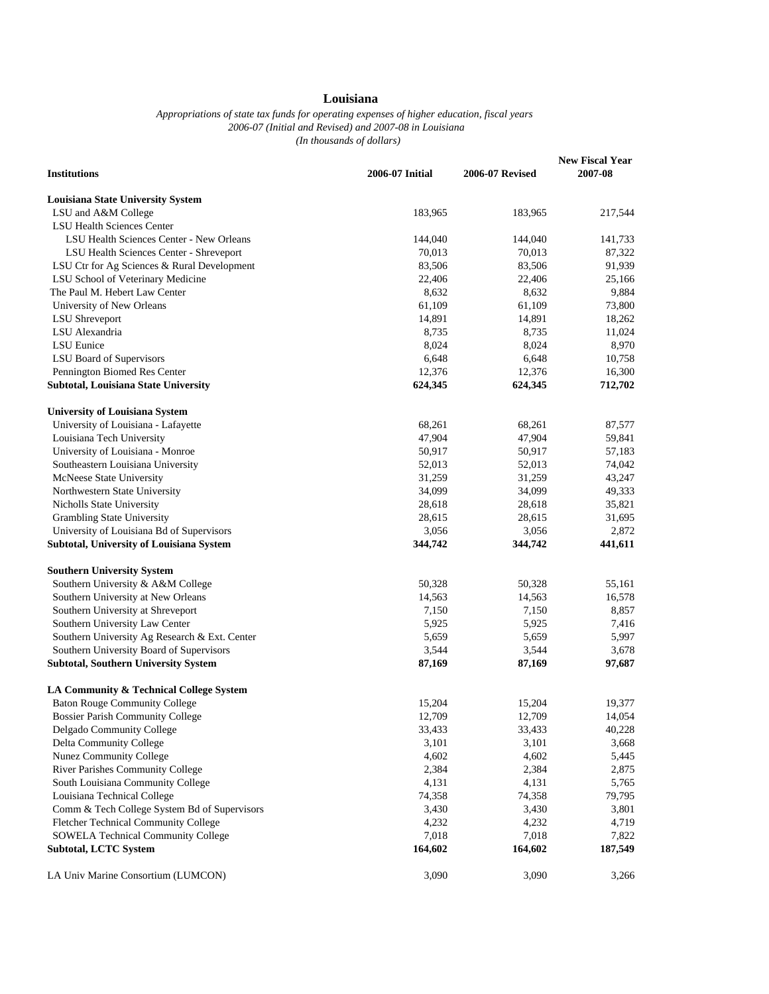## **Louisiana**

## *Appropriations of state tax funds for operating expenses of higher education, fiscal years 2006-07 (Initial and Revised) and 2007-08 in Louisiana (In thousands of dollars)*

| <b>Institutions</b>                           | 2006-07 Initial | <b>2006-07 Revised</b> | <b>New Fiscal Year</b><br>2007-08 |
|-----------------------------------------------|-----------------|------------------------|-----------------------------------|
| <b>Louisiana State University System</b>      |                 |                        |                                   |
| LSU and A&M College                           | 183,965         | 183,965                | 217,544                           |
| <b>LSU Health Sciences Center</b>             |                 |                        |                                   |
| LSU Health Sciences Center - New Orleans      | 144,040         | 144,040                | 141,733                           |
| LSU Health Sciences Center - Shreveport       | 70,013          | 70,013                 | 87,322                            |
| LSU Ctr for Ag Sciences & Rural Development   | 83,506          | 83,506                 | 91,939                            |
| LSU School of Veterinary Medicine             | 22,406          | 22,406                 | 25,166                            |
| The Paul M. Hebert Law Center                 | 8,632           | 8,632                  | 9,884                             |
| University of New Orleans                     | 61,109          | 61,109                 | 73,800                            |
| <b>LSU</b> Shreveport                         | 14,891          | 14,891                 | 18,262                            |
| LSU Alexandria                                | 8,735           | 8,735                  | 11,024                            |
| <b>LSU</b> Eunice                             | 8,024           | 8,024                  | 8,970                             |
| LSU Board of Supervisors                      | 6,648           | 6,648                  | 10,758                            |
| Pennington Biomed Res Center                  | 12,376          | 12,376                 | 16,300                            |
| Subtotal, Louisiana State University          | 624,345         | 624,345                | 712,702                           |
|                                               |                 |                        |                                   |
| <b>University of Louisiana System</b>         |                 |                        |                                   |
| University of Louisiana - Lafayette           | 68,261          | 68,261                 | 87,577                            |
| Louisiana Tech University                     | 47,904          | 47,904                 | 59,841                            |
| University of Louisiana - Monroe              | 50,917          | 50,917                 | 57,183                            |
| Southeastern Louisiana University             | 52,013          | 52,013                 | 74,042                            |
| McNeese State University                      | 31,259          | 31,259                 | 43,247                            |
| Northwestern State University                 | 34,099          | 34,099                 | 49,333                            |
| Nicholls State University                     | 28,618          | 28,618                 | 35,821                            |
| Grambling State University                    | 28,615          | 28,615                 | 31,695                            |
| University of Louisiana Bd of Supervisors     | 3,056           | 3,056                  | 2,872                             |
| Subtotal, University of Louisiana System      | 344,742         | 344,742                | 441,611                           |
| <b>Southern University System</b>             |                 |                        |                                   |
| Southern University & A&M College             | 50,328          | 50,328                 | 55,161                            |
| Southern University at New Orleans            | 14,563          | 14,563                 | 16,578                            |
| Southern University at Shreveport             | 7,150           | 7,150                  | 8,857                             |
| Southern University Law Center                | 5,925           | 5,925                  | 7,416                             |
| Southern University Ag Research & Ext. Center | 5,659           | 5,659                  | 5,997                             |
| Southern University Board of Supervisors      | 3,544           | 3,544                  | 3,678                             |
| <b>Subtotal, Southern University System</b>   | 87,169          | 87,169                 | 97,687                            |
| LA Community & Technical College System       |                 |                        |                                   |
| <b>Baton Rouge Community College</b>          | 15,204          | 15,204                 | 19,377                            |
| <b>Bossier Parish Community College</b>       | 12,709          | 12,709                 | 14,054                            |
| Delgado Community College                     | 33,433          | 33,433                 | 40,228                            |
| Delta Community College                       | 3,101           | 3,101                  | 3,668                             |
| Nunez Community College                       | 4,602           | 4,602                  | 5,445                             |
| River Parishes Community College              | 2,384           | 2,384                  | 2,875                             |
| South Louisiana Community College             | 4,131           | 4,131                  | 5,765                             |
| Louisiana Technical College                   | 74,358          | 74,358                 | 79,795                            |
| Comm & Tech College System Bd of Supervisors  | 3,430           | 3,430                  | 3,801                             |
| Fletcher Technical Community College          | 4,232           | 4,232                  | 4,719                             |
| <b>SOWELA Technical Community College</b>     | 7,018           | 7,018                  | 7,822                             |
| <b>Subtotal, LCTC System</b>                  | 164,602         | 164,602                | 187,549                           |
| LA Univ Marine Consortium (LUMCON)            | 3,090           | 3,090                  | 3,266                             |
|                                               |                 |                        |                                   |